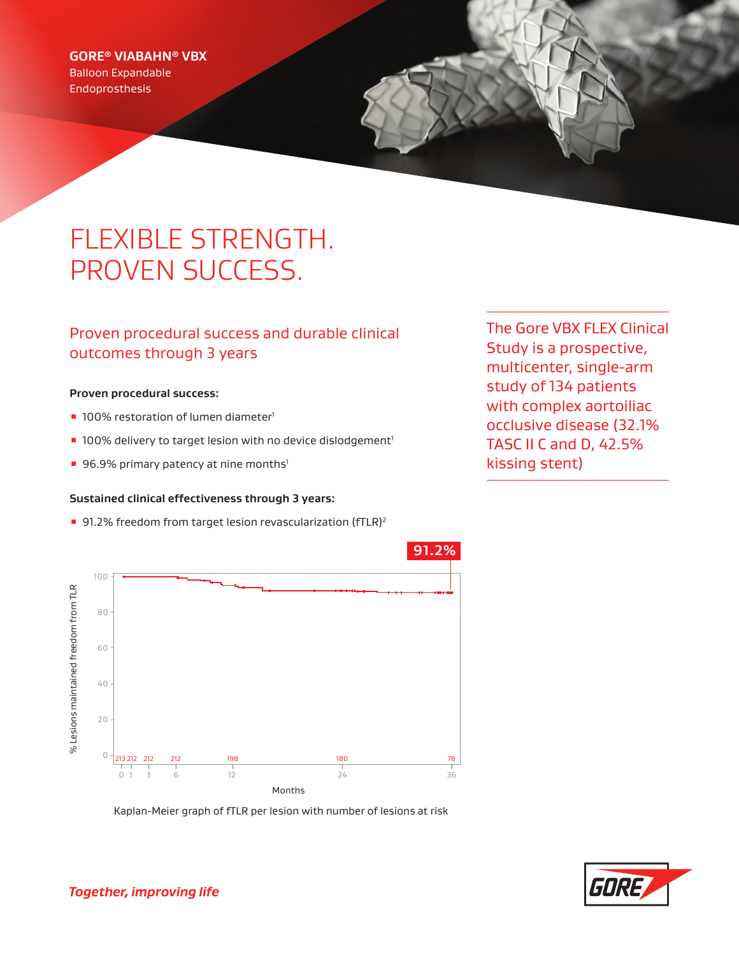### **GORE® VIABAHN® VBX**

Balloon Expandable Endoprosthesis

# FLEXIBLE STRENGTH. PROVEN SUCCESS.

## Proven procedural success and durable clinical outcomes through 3 years

#### **Proven procedural success:**

- 100% restoration of lumen diameter<sup>1</sup>
- 100% delivery to target lesion with no device dislodgement<sup>1</sup>
- 96.9% primary patency at nine months<sup>1</sup>

#### **Sustained clinical effectiveness through 3 years:**

■ 91.2% freedom from target lesion revascularization (fTLR)<sup>2</sup>

The Gore VBX FLEX Clinical Study is a prospective, multicenter, single-arm study of 134 patients with complex aortoiliac occlusive disease (32.1% TASC II C and D, 42.5% kissing stent)



Kaplan-Meier graph of fTLR per lesion with number of lesions at risk